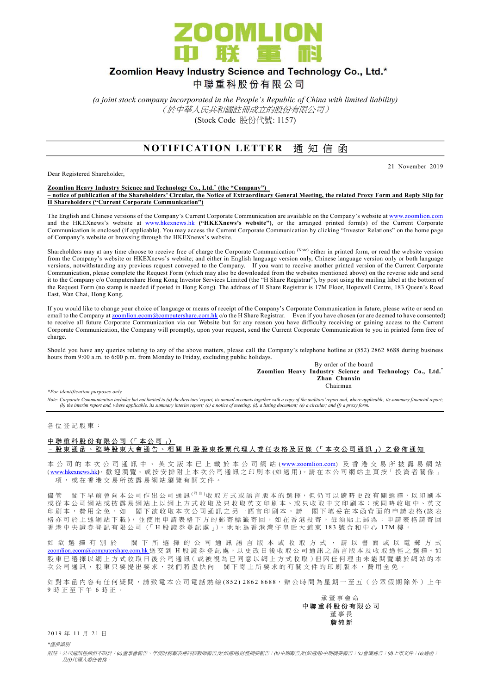

# Zoomlion Heavy Industry Science and Technology Co., Ltd.\*

中聯重科股份有限公司

(a joint stock company incorporated in the People's Republic of China with limited liability) (於中華人民共和國註冊成立的股份有限公司) (Stock Code 股份代號: 1157)

## NOTIFICATION LETTER 通知信函

Dear Registered Shareholder,

21 November 2019

#### Zoomlion Heavy Industry Science and Technology Co., Ltd.<sup>\*</sup> (the "Company") – notice of publication of the Shareholders' Circular, the Notice of Extraordinary General Meeting, the related Proxy Form and Reply Slip for H Shareholders ("Current Corporate Communication")

The English and Chinese versions of the Company's Current Corporate Communication are available on the Company's website at www.zoomlion.com and the HKEXnews's website at www.hkexnews.hk ("HKEXnews's website"), or the arranged printed form(s) of the Current Corporate Communication is enclosed (if applicable). You may access the Current Corporate Communication by clicking "Investor Relations" on the home page of Company's website or browsing through the HKEXnews's website.

Shareholders may at any time choose to receive free of charge the Corporate Communication (Note) either in printed form, or read the website version from the Company's website or HKEXnews's website; and either in English language version only, Chinese language version only or both language versions, notwithstanding any previous request conveyed to the Company. If you want to receive another printed version of the Current Corporate Communication, please complete the Request Form (which may also be downloaded from the websites mentioned above) on the reverse side and send it to the Company c/o Computershare Hong Kong Investor Services Limited (the "H Share Registrar"), by post using the mailing label at the bottom of the Request Form (no stamp is needed if posted in Hong Kong). The address of H Share Registrar is 17M Floor, Hopewell Centre, 183 Queen's Road East, Wan Chai, Hong Kong.

If you would like to change your choice of language or means of receipt of the Company's Corporate Communication in future, please write or send an email to the Company at <u>zoomlion.ecom@computershare.com.hk</u> c/o the H Share Registrar. Even if you have chosen (or are deemed to have consented) to receive all future Corporate Communication via our Website but for any reason you have difficulty receiving or gaining access to the Current Corporate Communication, the Company will promptly, upon your request, send the Current Corporate Communication to you in printed form free of charge.

Should you have any queries relating to any of the above matters, please call the Company's telephone hotline at (852) 2862 8688 during business hours from 9:00 a.m. to 6:00 p.m. from Monday to Friday, excluding public holidays.

By order of the board Zoomlion Heavy Industry Science and Technology Co., Ltd.\* Zhan Chunxin **Chairman** 

\*For identification purposes only

Note: Corporate Communication includes but not limited to (a) the directors' report, its annual accounts together with a copy of the auditors' report and, where applicable, its summary financial report;<br>(b) the interim rep

各 位 登 記 股 東 :

### 中聯重科股份有限公司 (「本公司」) – 股 東 通 函 、 臨 時 股 東 大 會 通 告 、 相 關 H 股 股 東 投 票 代 理 人 委 任 表 格 及 回 條 (「 本 次 公 司 通 訊 」) 之 發 佈 通 知

本 公 司 的 本 次 公 司 通 訊 中 、 英 文 版 本 已 上 載 於 本 公 司 網 站 (www.zoomlion.com) 及 香 港 交 易 所 披 露 易 網 站 ( www.hkexnews.hk), 歡 迎 瀏 覽 。 或 按 安 排 附 上 本 次 公 司 通 訊 之 印 刷 本 ( 如 適 用 )。 請 在 本 公 司 網 站 主 頁 按「 投 資 者 關 係 」 一 項 , 或 在 香 港 交 易 所 披 露 易 網 站 瀏 覽 有 關 文 件 。

儘 管 閣 下 早 前 曾 向 本 公 司 作 出 公 司 通 訊 <sup>( 附 註</sup> )收 取 方 式 或 語 言 版 本 的 選 擇 , 但 仍 可 以 隨 時 更 改 有 關 選 擇 , 以 印 刷 本 或從本公司網站或披露易網站上以網上方式收取及只收取英文印刷本、或只收取中文印刷本;或同時收取中、英文 印刷本,費用全免。如 閣下欲收取本次公司通訊之另一語言印刷本,請 閣下填妥在本函背面的申請表格(該表 格亦可於 上述網站下載), 並使用申請表格下方的郵寄標籤寄回, 如在香港投寄, 毋須貼上郵票; 申請表格請寄回 香 港 中 央 證 券 登 記 有 限 公 司 (「 H 股 證 券 登 記 處 」), 地 址 為 香 港 灣 仔 皇 后 大 道 東 1 8 3 號 合 和 中 心 1 7 M 樓 。

如 欲 選 擇 有 別 於 閣 下 所 選 擇 的 公 司 通 訊 語 言 版 本 或 收 取 方 式 , 請 以 書 面 或 以 電 郵 方 式 zoomlion.ecom@computershare.com.hk 送 交 到 H 股 證 券 登 記 處 , 以 更 改 日 後 收 取 公 司 通 訊 之 語 言 版 本 及 收 取 途 徑 之 選 擇 。 如 股東已 選擇以網上方式收取日後公司通訊 (或被視為已同意以網上方式收取)但因任何理由未能閱覽載於網站的本 次公司通訊,股東只要提出要求,我們將盡快向 閣下寄上所要求的有關文件的印刷版本,費用全免。

如 對 本 函 内 容 有 任 何 疑 問 , 請 致 電 本 公 司 電 話 熱 線 (852) 2862 8688, 辦 公 時 間 為 星 期 一 至 五 ( 公 眾 假 期 除 外 ) 上 午 9 時正至下午 6 時正。

 承 董 事 會 命 中 聯 重 科 股 份 有 限 公 司 董 事 長 詹 純 新

2 0 1 9 年 11 月 2 1 日

\*僅供識別

附註:公司通訊包括但不限於:(a)董事會報告、年度財務報表連同核數師報告及(如適用)財務摘要報告;(b)中期報告及(如適用)中期摘要報告;(c)會議通告;(d)上市文件;(e)通函; 及(f)代理人委任表格。